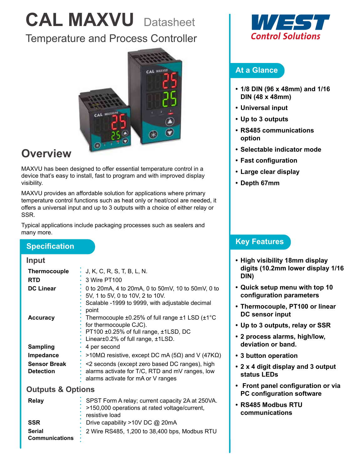# **CAL MAXVU** Datasheet

### Temperature and Process Controller



## **Overview**

MAXVU has been designed to offer essential temperature control in a device that's easy to install, fast to program and with improved display visibility.

MAXVU provides an affordable solution for applications where primary temperature control functions such as heat only or heat/cool are needed, it offers a universal input and up to 3 outputs with a choice of either relay or SSR.

Typical applications include packaging processes such as sealers and many more.

#### **Specification**

#### **Input**

| <b>Thermocouple</b><br><b>RTD</b>       | J, K, C, R, S, T, B, L, N.<br>3 Wire PT100                                                                                                             |
|-----------------------------------------|--------------------------------------------------------------------------------------------------------------------------------------------------------|
| <b>DC Linear</b>                        | 0 to 20 mA, 4 to 20 mA, 0 to 50 mV, 10 to 50 mV, 0 to<br>5V, 1 to 5V, 0 to 10V, 2 to 10V.<br>Scalable -1999 to 9999, with adjustable decimal<br>point  |
| <b>Accuracy</b>                         | Thermocouple ±0.25% of full range ±1 LSD (±1°C<br>for thermocouple CJC).<br>PT100 ±0.25% of full range, ±1LSD, DC<br>Linear±0.2% of full range, ±1LSD. |
| <b>Sampling</b>                         | 4 per second                                                                                                                                           |
| Impedance                               | >10MΩ resistive, except DC mA (5Ω) and V (47KΩ)                                                                                                        |
| <b>Sensor Break</b><br><b>Detection</b> | <2 seconds (except zero based DC ranges), high<br>alarms activate for T/C, RTD and mV ranges, low<br>alarms activate for mA or V ranges                |

#### **Outputs & Options**

| Relay                                       | SPST Form A relay; current capacity 2A at 250VA.<br>· >150,000 operations at rated voltage/current,<br>resistive load |
|---------------------------------------------|-----------------------------------------------------------------------------------------------------------------------|
| <b>SSR</b>                                  | Drive capability >10V DC @ 20mA                                                                                       |
| <b>Serial</b><br><b>Communications</b><br>٠ | 2 Wire RS485, 1,200 to 38,400 bps, Modbus RTU                                                                         |



#### **At a Glance**

- **• 1/8 DIN (96 x 48mm) and 1/16 DIN (48 x 48mm)**
- **• Universal input**
- **• Up to 3 outputs**
- **• RS485 communications option**
- **• Selectable indicator mode**
- **• Fast configuration**
- **• Large clear display**
- **• Depth 67mm**

#### **Key Features**

- **• High visibility 18mm display digits (10.2mm lower display 1/16 DIN)**
- **• Quick setup menu with top 10 configuration parameters**
- **• Thermocouple, PT100 or linear DC sensor input**
- **• Up to 3 outputs, relay or SSR**
- **• 2 process alarms, high/low, deviation or band.**
- **• 3 button operation**
- **• 2 x 4 digit display and 3 output status LEDs**
- **• Front panel configuration or via PC configuration software**
- **• RS485 Modbus RTU communications**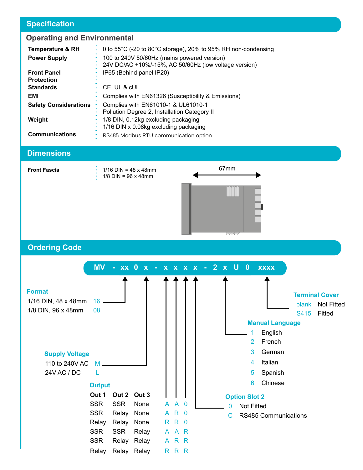#### **Specification**

# **Operating and Environmental**

| <b>Temperature &amp; RH</b>  | 0 to 55 $^{\circ}$ C (-20 to 80 $^{\circ}$ C storage), 20% to 95% RH non-condensing                  |
|------------------------------|------------------------------------------------------------------------------------------------------|
| <b>Power Supply</b>          | 100 to 240V 50/60Hz (mains powered version)<br>24V DC/AC +10%/-15%, AC 50/60Hz (low voltage version) |
| <b>Front Panel</b>           | IP65 (Behind panel IP20)                                                                             |
| <b>Protection</b>            |                                                                                                      |
| <b>Standards</b>             | CE, UL & cUL                                                                                         |
| EMI                          | Complies with EN61326 (Susceptibility & Emissions)                                                   |
| <b>Safety Considerations</b> | Complies with EN61010-1 & UL61010-1                                                                  |
|                              | Pollution Degree 2, Installation Category II                                                         |
| Weight                       | 1/8 DIN, 0.12kg excluding packaging                                                                  |
|                              | 1/16 DIN x 0.08kg excluding packaging                                                                |
| <b>Communications</b>        | RS485 Modbus RTU communication option                                                                |
|                              |                                                                                                      |

#### **Dimensions**

**Front Fascia 1/16 DIN = 48 x 48mm** 1/8 DIN = 96 x 48mm



**Ordering Code**